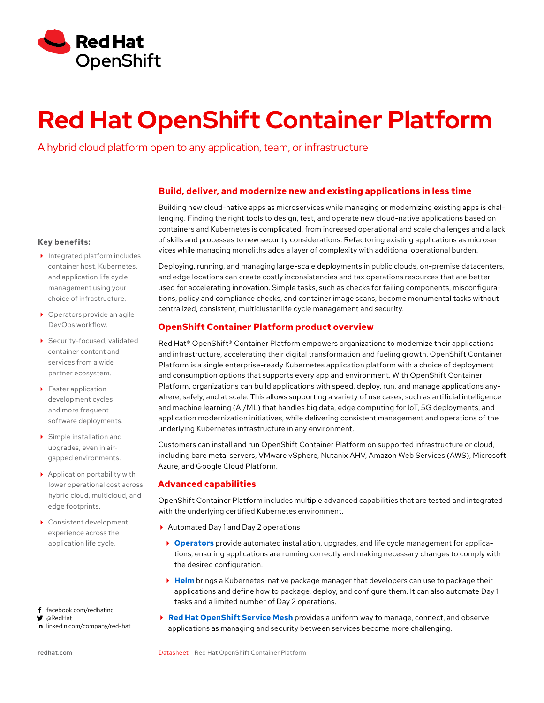

# **Red Hat OpenShift Container Platform Red Hat OnenShift Container Pla**

and the state of the state of the state of the state of the state of the state of the state of the state of the<br>A hybrid cloud platform open to any application, team, or infrastructure

## **Build, deliver, and modernize new and existing applications in less time**

Building new cloud-native apps as microservices while managing or modernizing existing apps is challenging. Finding the right tools to design, test, and operate new cloud-native applications based on containers and Kubernetes is complicated, from increased operational and scale challenges and a lack of skills and processes to new security considerations. Refactoring existing applications as microservices while managing monoliths adds a layer of complexity with additional operational burden.

Deploying, running, and managing large-scale deployments in public clouds, on-premise datacenters, and edge locations can create costly inconsistencies and tax operations resources that are better used for accelerating innovation. Simple tasks, such as checks for failing components, misconfigurations, policy and compliance checks, and container image scans, become monumental tasks without centralized, consistent, multicluster life cycle management and security.

## **OpenShift Container Platform product overview**

Red Hat<sup>®</sup> OpenShift<sup>®</sup> Container Platform empowers organizations to modernize their applications and infrastructure, accelerating their digital transformation and fueling growth. OpenShift Container Platform is a single enterprise-ready Kubernetes application platform with a choice of deployment and consumption options that supports every app and environment. With OpenShift Container Platform, organizations can build applications with speed, deploy, run, and manage applications anywhere, safely, and at scale. This allows supporting a variety of use cases, such as artificial intelligence and machine learning (AI/ML) that handles big data, edge computing for IoT, 5G deployments, and application modernization initiatives, while delivering consistent management and operations of the underlying Kubernetes infrastructure in any environment.

Customers can install and run OpenShift Container Platform on supported infrastructure or cloud, including bare metal servers, VMware vSphere, Nutanix AHV, Amazon Web Services (AWS), Microsoft Azure, and Google Cloud Platform.

## **Advanced capabilities**

OpenShift Container Platform includes multiple advanced capabilities that are tested and integrated with the underlying certified Kubernetes environment.

- ▶ Automated Day 1 and Day 2 operations
	- **[Operators](https://www.redhat.com/en/technologies/cloud-computing/openshift/what-are-openshift-operators)** provide automated installation, upgrades, and life cycle management for applications, ensuring applications are running correctly and making necessary changes to comply with the desired configuration.
	- **[Helm](https://www.redhat.com/en/technologies/cloud-computing/openshift/helm)** brings a Kubernetes-native package manager that developers can use to package their applications and define how to package, deploy, and configure them. It can also automate Day 1 tasks and a limited number of Day 2 operations.
- **[Red Hat OpenShift Service Mesh](https://www.redhat.com/en/technologies/cloud-computing/openshift/what-is-openshift-service-mesh)** provides a uniform way to manage, connect, and observe applications as managing and security between services become more challenging.

#### **Key benefits:**

- Integrated platform includes container host, Kubernetes, and application life cycle management using your choice of infrastructure.
- ▶ Operators provide an agile DevOps workflow.
- Security-focused, validated container content and services from a wide partner ecosystem.
- ▶ Faster application development cycles and more frequent software deployments.
- Simple installation and upgrades, even in airgapped environments.
- Application portability with lower operational cost across hybrid cloud, multicloud, and edge footprints.
- ▶ Consistent development experience across the application life cycle.

f facebook.com/redhatinc

@RedHat

in linkedin.com/company/red-hat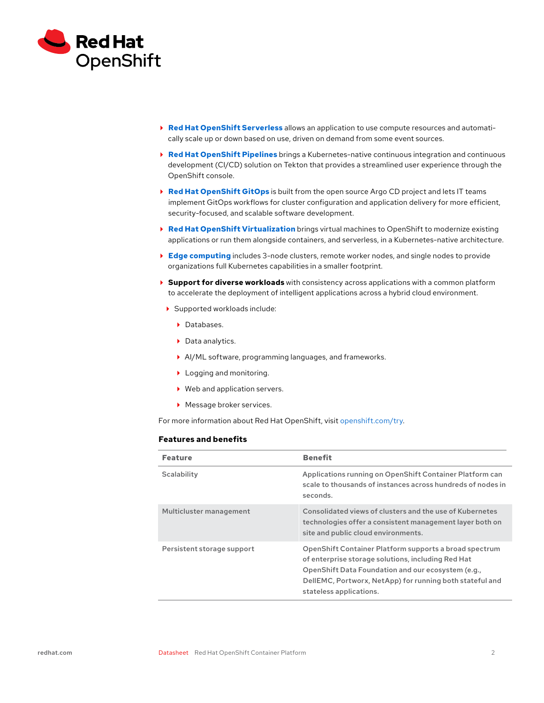

- **[Red Hat OpenShift Serverless](https://www.redhat.com/en/topics/microservices/why-choose-openshift-serverless)** allows an application to use compute resources and automatically scale up or down based on use, driven on demand from some event sources.
- **[Red Hat OpenShift Pipelines](https://www.redhat.com/en/technologies/cloud-computing/openshift/ci-cd)** brings a Kubernetes-native continuous integration and continuous development (CI/CD) solution on Tekton that provides a streamlined user experience through the OpenShift console.
- **[Red Hat OpenShift GitOps](https://www.redhat.com/en/topics/devops/what-is-gitops)** is built from the open source Argo CD project and lets IT teams implement GitOps workflows for cluster configuration and application delivery for more efficient, security-focused, and scalable software development.
- **[Red Hat OpenShift Virtualization](https://www.redhat.com/en/technologies/cloud-computing/openshift/virtualization)** brings virtual machines to OpenShift to modernize existing applications or run them alongside containers, and serverless, in a Kubernetes-native architecture.
- **[Edge computing](https://www.redhat.com/en/technologies/cloud-computing/openshift/edge-computing)** includes 3-node clusters, remote worker nodes, and single nodes to provide organizations full Kubernetes capabilities in a smaller footprint.
- **Support for diverse workloads** with consistency across applications with a common platform to accelerate the deployment of intelligent applications across a hybrid cloud environment.
	- Supported workloads include:
		- ▶ Databases.
		- ▶ Data analytics.
		- AI/ML software, programming languages, and frameworks.
		- ▶ Logging and monitoring.
		- ▶ Web and application servers.
		- **Message broker services.**

For more information about Red Hat OpenShift, visit [openshift.com/try.](https://www.redhat.com/en/technologies/cloud-computing/openshift/try-it)

### **Features and benefits**

| <b>Feature</b>             | <b>Benefit</b>                                                                                                                                                                                                                                            |
|----------------------------|-----------------------------------------------------------------------------------------------------------------------------------------------------------------------------------------------------------------------------------------------------------|
| Scalability                | Applications running on OpenShift Container Platform can<br>scale to thousands of instances across hundreds of nodes in<br>seconds.                                                                                                                       |
| Multicluster management    | Consolidated views of clusters and the use of Kubernetes<br>technologies offer a consistent management layer both on<br>site and public cloud environments.                                                                                               |
| Persistent storage support | OpenShift Container Platform supports a broad spectrum<br>of enterprise storage solutions, including Red Hat<br>OpenShift Data Foundation and our ecosystem (e.g.,<br>DellEMC, Portworx, NetApp) for running both stateful and<br>stateless applications. |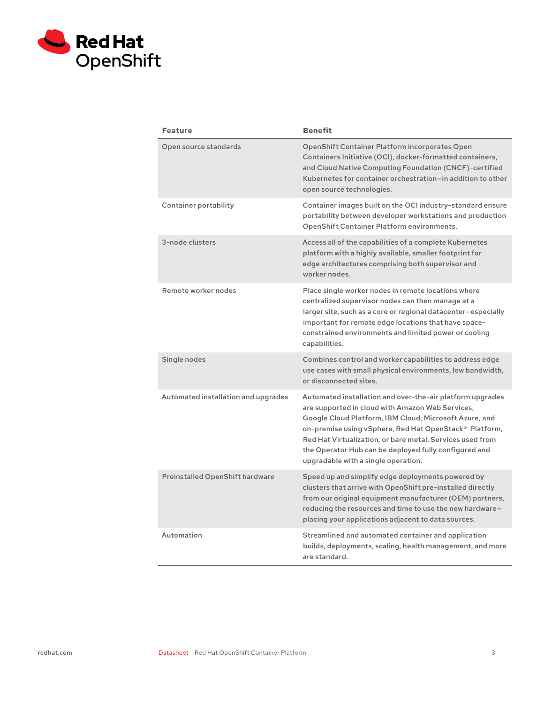

| <b>Feature</b>                      | <b>Benefit</b>                                                                                                                                                                                                                                                                                                                                                                                 |
|-------------------------------------|------------------------------------------------------------------------------------------------------------------------------------------------------------------------------------------------------------------------------------------------------------------------------------------------------------------------------------------------------------------------------------------------|
| Open source standards               | <b>OpenShift Container Platform incorporates Open</b><br>Containers Initiative (OCI), docker-formatted containers,<br>and Cloud Native Computing Foundation (CNCF)-certified<br>Kubernetes for container orchestration-in addition to other<br>open source technologies.                                                                                                                       |
| Container portability               | Container images built on the OCI industry-standard ensure<br>portability between developer workstations and production<br>OpenShift Container Platform environments.                                                                                                                                                                                                                          |
| 3-node clusters                     | Access all of the capabilities of a complete Kubernetes<br>platform with a highly available, smaller footprint for<br>edge architectures comprising both supervisor and<br>worker nodes.                                                                                                                                                                                                       |
| Remote worker nodes                 | Place single worker nodes in remote locations where<br>centralized supervisor nodes can then manage at a<br>larger site, such as a core or regional datacenter-especially<br>important for remote edge locations that have space-<br>constrained environments and limited power or cooling<br>capabilities.                                                                                    |
| Single nodes                        | Combines control and worker capabilities to address edge<br>use cases with small physical environments, low bandwidth,<br>or disconnected sites.                                                                                                                                                                                                                                               |
| Automated installation and upgrades | Automated installation and over-the-air platform upgrades<br>are supported in cloud with Amazon Web Services,<br>Google Cloud Platform, IBM Cloud, Microsoft Azure, and<br>on-premise using vSphere, Red Hat OpenStack® Platform,<br>Red Hat Virtualization, or bare metal. Services used from<br>the Operator Hub can be deployed fully configured and<br>upgradable with a single operation. |
| Preinstalled OpenShift hardware     | Speed up and simplify edge deployments powered by<br>clusters that arrive with OpenShift pre-installed directly<br>from our original equipment manufacturer (OEM) partners,<br>reducing the resources and time to use the new hardware-<br>placing your applications adjacent to data sources.                                                                                                 |
| Automation                          | Streamlined and automated container and application<br>builds, deployments, scaling, health management, and more<br>are standard.                                                                                                                                                                                                                                                              |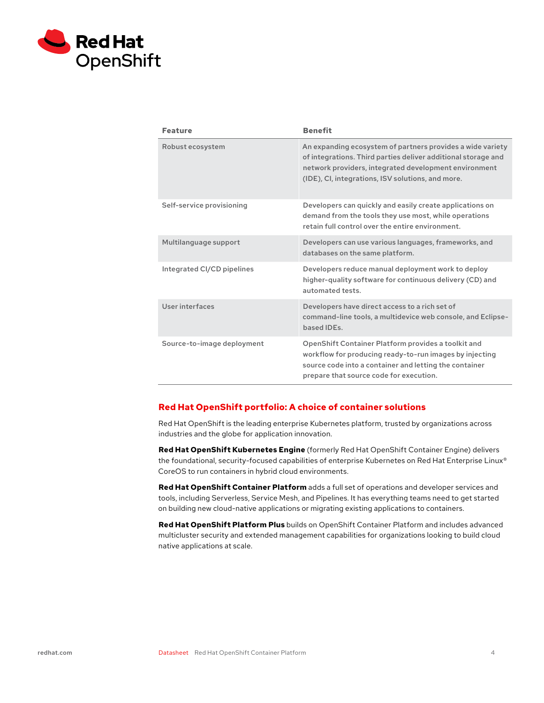

| <b>Feature</b>             | <b>Benefit</b>                                                                                                                                                                                                                            |
|----------------------------|-------------------------------------------------------------------------------------------------------------------------------------------------------------------------------------------------------------------------------------------|
| Robust ecosystem           | An expanding ecosystem of partners provides a wide variety<br>of integrations. Third parties deliver additional storage and<br>network providers, integrated development environment<br>(IDE), CI, integrations, ISV solutions, and more. |
| Self-service provisioning  | Developers can quickly and easily create applications on<br>demand from the tools they use most, while operations<br>retain full control over the entire environment.                                                                     |
| Multilanguage support      | Developers can use various languages, frameworks, and<br>databases on the same platform.                                                                                                                                                  |
| Integrated CI/CD pipelines | Developers reduce manual deployment work to deploy<br>higher-quality software for continuous delivery (CD) and<br>automated tests.                                                                                                        |
| User interfaces            | Developers have direct access to a rich set of<br>command-line tools, a multidevice web console, and Eclipse-<br>based IDEs.                                                                                                              |
| Source-to-image deployment | OpenShift Container Platform provides a toolkit and<br>workflow for producing ready-to-run images by injecting<br>source code into a container and letting the container<br>prepare that source code for execution.                       |

## **Red Hat OpenShift portfolio: A choice of container solutions**

Red Hat OpenShift is the leading enterprise Kubernetes platform, trusted by organizations across industries and the globe for application innovation.

**Red Hat OpenShift Kubernetes Engine** (formerly Red Hat OpenShift Container Engine) delivers the foundational, security-focused capabilities of enterprise Kubernetes on Red Hat Enterprise Linux® CoreOS to run containers in hybrid cloud environments.

**Red Hat OpenShift Container Platform** adds a full set of operations and developer services and tools, including Serverless, Service Mesh, and Pipelines. It has everything teams need to get started on building new cloud-native applications or migrating existing applications to containers.

**Red Hat OpenShift Platform Plus** builds on OpenShift Container Platform and includes advanced multicluster security and extended management capabilities for organizations looking to build cloud native applications at scale.